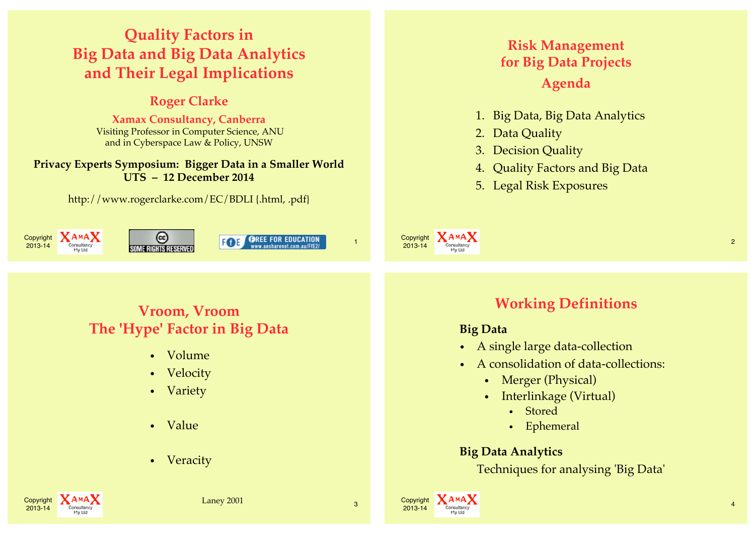# **Quality Factors in Big Data and Big Data Analytics and Their Legal Implications**

# **Roger Clarke**

**Xamax Consultancy, Canberra** Visiting Professor in Computer Science, ANU and in Cyberspace Law & Policy, UNSW

#### **Privacy Experts Symposium: Bigger Data in a Smaller World UTS – 12 December 2014**

http://www.rogerclarke.com/EC/BDLI {.html, .pdf}



# **Risk Management for Big Data Projects Agenda**

- 1. Big Data, Big Data Analytics
- 2. Data Quality
- 3. Decision Quality
- 4. Quality Factors and Big Data
- 5. Legal Risk Exposures



# **Vroom, Vroom The 'Hype' Factor in Big Data**

- Volume
- Velocity
- Variety
- Value
- Veracity

# **Working Definitions**

#### **Big Data**

- A single large data-collection
- A consolidation of data-collections:
	- Merger (Physical)
	- Interlinkage (Virtual)
		- Stored
		- Ephemeral

#### **Big Data Analytics**

Techniques for analysing 'Big Data'

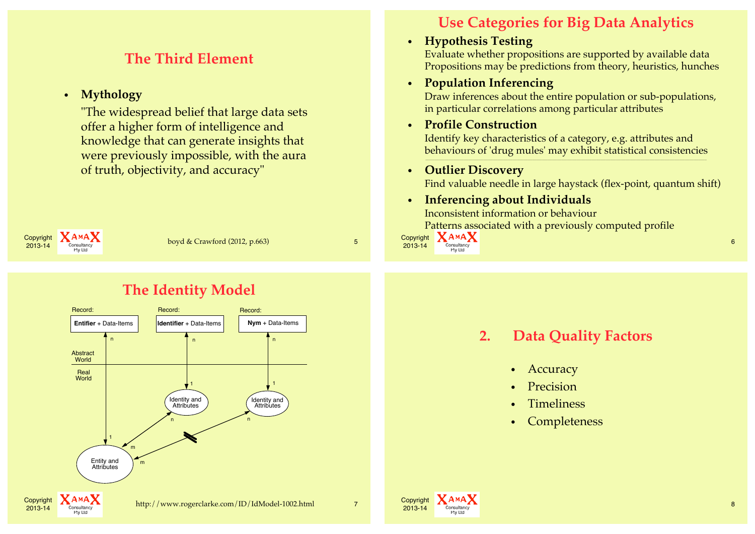# **The Third Element**

#### • **Mythology**

"The widespread belief that large data sets offer a higher form of intelligence and knowledge that can generate insights that were previously impossible, with the aura of truth, objectivity, and accuracy"



# **The Identity Model**



# **Use Categories for Big Data Analytics**

#### • **Hypothesis Testing**

Evaluate whether propositions are supported by available data Propositions may be predictions from theory, heuristics, hunches

#### • **Population Inferencing**

Draw inferences about the entire population or sub-populations, in particular correlations among particular attributes

#### • **Profile Construction**

Identify key characteristics of a category, e.g. attributes and behaviours of 'drug mules' may exhibit statistical consistencies

#### • **Outlier Discovery**

Find valuable needle in large haystack (flex-point, quantum shift)

#### • **Inferencing about Individuals**

Inconsistent information or behaviour Patterns associated with a previously computed profile



### **2. Data Quality Factors**

- **Accuracy**
- **Precision**
- **Timeliness**
- **Completeness**

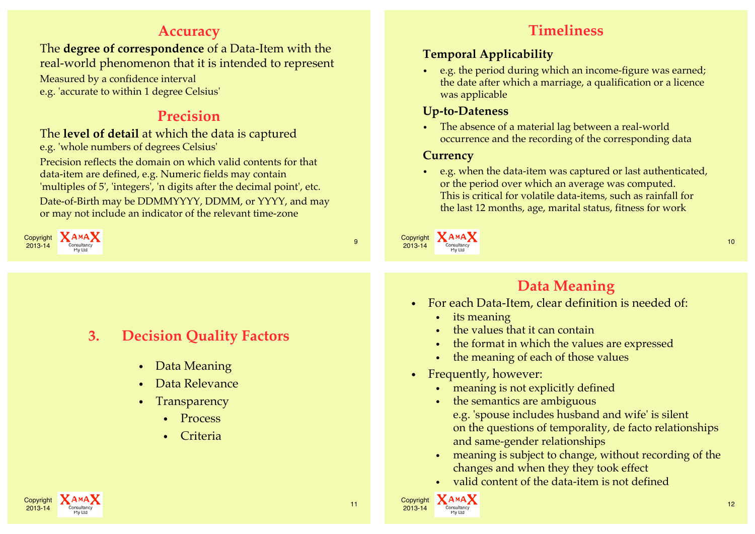## **Accuracy**

The **degree of correspondence** of a Data-Item with the real-world phenomenon that it is intended to represent

Measured by a confidence interval e.g. 'accurate to within 1 degree Celsius'

# **Precision**

#### The **level of detail** at which the data is captured e.g. 'whole numbers of degrees Celsius'

Precision reflects the domain on which valid contents for that data-item are defined, e.g. Numeric fields may contain 'multiples of 5', 'integers', 'n digits after the decimal point', etc. Date-of-Birth may be DDMMYYYY, DDMM, or YYYY, and may or may not include an indicator of the relevant time-zone



# **3. Decision Quality Factors**

- Data Meaning
- Data Relevance
- Transparency
	- Process
	- Criteria



#### **Temporal Applicability**

• e.g. the period during which an income-figure was earned; the date after which a marriage, a qualification or a licence was applicable

#### **Up-to-Dateness**

• The absence of a material lag between a real-world occurrence and the recording of the corresponding data

#### **Currency**

• e.g. when the data-item was captured or last authenticated, or the period over which an average was computed. This is critical for volatile data-items, such as rainfall for the last 12 months, age, marital status, fitness for work



Copyright **XAMAX** 

# **Data Meaning**

- For each Data-Item, clear definition is needed of:
	- its meaning
	- the values that it can contain
	- the format in which the values are expressed
	- the meaning of each of those values
- Frequently, however:
	- meaning is not explicitly defined
	- the semantics are ambiguous e.g. 'spouse includes husband and wife' is silent on the questions of temporality, de facto relationships and same-gender relationships
	- meaning is subject to change, without recording of the changes and when they they took effect
	- valid content of the data-item is not defined



 $2013-14$  Consultancy  $12$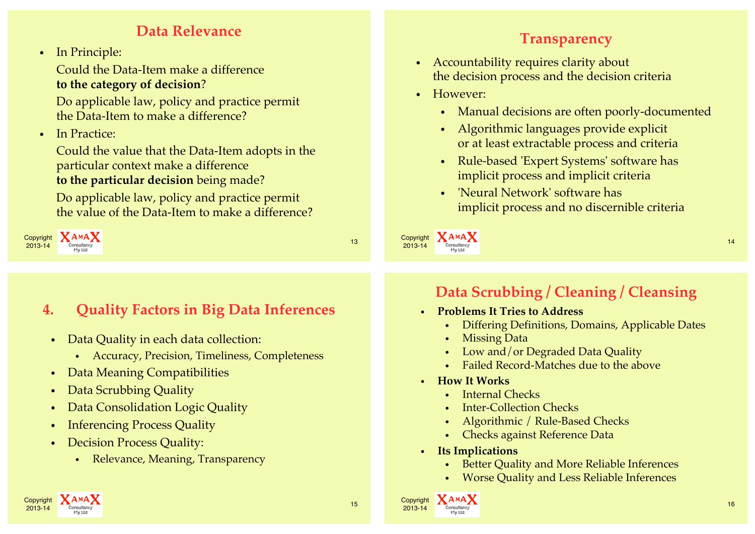# **Data Relevance**

• In Principle:

Could the Data-Item make a difference **to the category of decision** ?

Do applicable law, policy and practice permit the Data-Item to make a difference?

• In Practice:

Could the value that the Data-Item adopts in the particular context make a difference **to the particular decision** being made?

Do applicable law, policy and practice permit the value of the Data-Item to make a difference?

**4. Quality Factors in Big Data Inferences**

• Accuracy, Precision, Timeliness, Completeness

• Data Quality in each data collection:

• Data Consolidation Logic Quality

• Relevance, Meaning, Transparency

• Data Meaning Compatibilities

• Inferencing Process Quality

• Decision Process Quality:

• Data Scrubbing Quality



# **Transparency**

- Accountability requires clarity about the decision process and the decision criteria
- However:
	- Manual decisions are often poorly-documented
	- Algorithmic languages provide explicit or at least extractable process and criteria
	- Rule-based 'Expert Systems' software has implicit process and implicit criteria
	- 'Neural Network' software has implicit process and no discernible criteria

Copyright **XAMAX** experiment and the consultancy of the consultance of the consultance of the consultance of the consultance of the consultance of the consultance of the consultance of the consultance of the consultance of the consultance o

# **Data Scrubbing / Cleaning / Cleansing**

- **Problems It Tries to Address**
	- Differing Definitions, Domains, Applicable Dates
	- Missing Data
	- Low and/or Degraded Data Quality
	- Failed Record-Matches due to the above
- **How It Works**
	- Internal Checks
	- **Inter-Collection Checks**
	- Algorithmic / Rule-Based Checks
	- Checks against Reference Data
- **Its Implications**

Copyright **AMAX**<br>2013-14 Consultancy

- Better Quality and More Reliable Inferences
- Worse Quality and Less Reliable Inferences

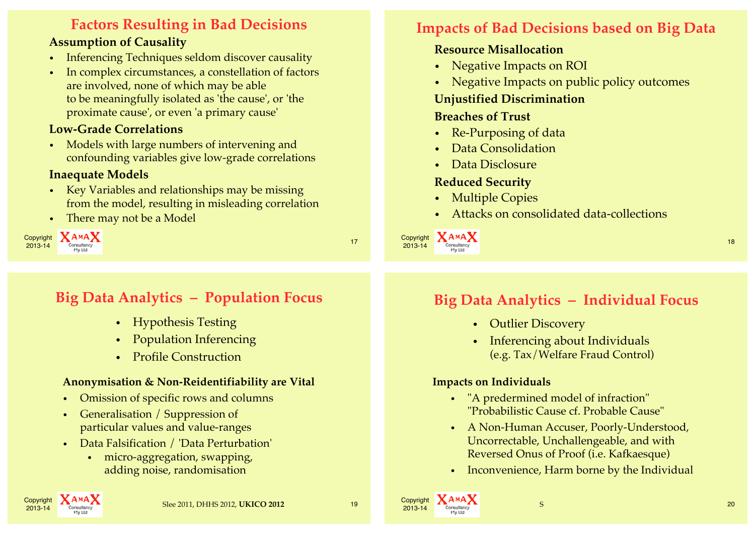# **Factors Resulting in Bad Decisions**

#### **Assumption of Causality**

- Inferencing Techniques seldom discover causality
- In complex circumstances, a constellation of factors are involved, none of which may be able to be meaningfully isolated as 'the cause', or 'the proximate cause', or even 'a primary cause'

#### **Low-Grade Correlations**

• Models with large numbers of intervening and confounding variables give low-grade correlations

#### **Inaequate Models**

- Key Variables and relationships may be missing from the model, resulting in misleading correlation
- There may not be a Model



# **Impacts of Bad Decisions based on Big Data**

## **Resource Misallocation**

- Negative Impacts on ROI
- Negative Impacts on public policy outcomes

#### **Unjustified Discrimination**

#### **Breaches of Trust**

- Re-Purposing of data
- Data Consolidation
- Data Disclosure

#### **Reduced Security**

- Multiple Copies
- Attacks on consolidated data-collections

Copyright **XAMAX** experiment and the consultancy of the consultance of the consultance of the consultance of the consultance of the consultance of the consultance of the consultance of the consultance of the consultance of the consultance o

# **Big Data Analytics – Population Focus**

- Hypothesis Testing
- Population Inferencing
- Profile Construction

#### **Anonymisation & Non-Reidentifiability are Vital**

- Omission of specific rows and columns
- Generalisation / Suppression of particular values and value-ranges
- Data Falsification / 'Data Perturbation'
	- micro-aggregation, swapping, adding noise, randomisation

# **Copyright**

Copyright  $A^{M}A^{M}$   $A^{M}$   $A^{M}$   $B^{M}$   $C^{O}$   $D^{O}$   $D^{O}$   $D^{O}$   $D^{O}$   $D^{O}$   $D^{O}$   $D^{O}$   $D^{O}$   $D^{O}$   $D^{O}$   $D^{O}$   $D^{O}$   $D^{O}$   $D^{O}$   $D^{O}$   $D^{O}$   $D^{O}$   $D^{O}$   $D^{O}$   $D^{O}$   $D^{O}$   $D^{O}$   $D^{O}$   $D^{O}$   $D^{O}$ 

# **Big Data Analytics – Individual Focus**

- Outlier Discovery
- Inferencing about Individuals (e.g. Tax/Welfare Fraud Control)

#### **Impacts on Individuals**

- "A predermined model of infraction" "Probabilistic Cause cf. Probable Cause"
- A Non-Human Accuser, Poorly-Understood, Uncorrectable, Unchallengeable, and with Reversed Onus of Proof (i.e. Kafkaesque)
- Inconvenience, Harm borne by the Individual

S